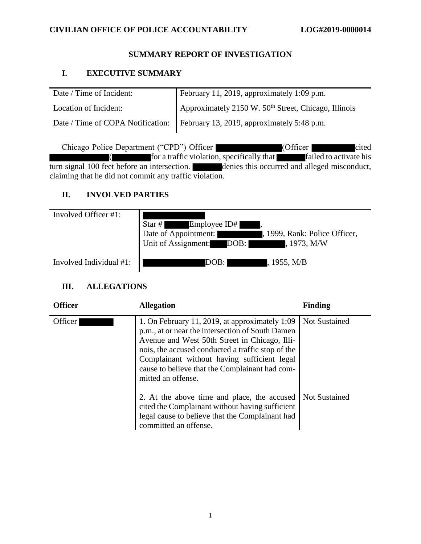### **SUMMARY REPORT OF INVESTIGATION**

# **I. EXECUTIVE SUMMARY**

| Date / Time of Incident: | February 11, 2019, approximately 1:09 $\overline{p.m.}$                      |
|--------------------------|------------------------------------------------------------------------------|
| Location of Incident:    | Approximately 2150 W. 50 <sup>th</sup> Street, Chicago, Illinois             |
|                          | Date / Time of COPA Notification: February 13, 2019, approximately 5:48 p.m. |

Chicago Police Department ("CPD") Officer (Officer cited  $\int$  for a traffic violation, specifically that  $\int$  failed to activate his turn signal 100 feet before an intersection. denies this occurred and alleged misconduct, claiming that he did not commit any traffic violation.

# **II. INVOLVED PARTIES**

| Involved Officer #1:    | Employee ID#<br>Star $#$<br>Date of Appointment:<br>, 1999, Rank: Police Officer,<br>Unit of Assignment: DOB:<br>, 1973, M/W |
|-------------------------|------------------------------------------------------------------------------------------------------------------------------|
| Involved Individual #1: | , 1955, M/B<br>DOB: I                                                                                                        |

# **III. ALLEGATIONS**

| <b>Officer</b> | <b>Allegation</b>                                                                                                                                                                                                                                                                                                               | <b>Finding</b>       |
|----------------|---------------------------------------------------------------------------------------------------------------------------------------------------------------------------------------------------------------------------------------------------------------------------------------------------------------------------------|----------------------|
| Officer        | 1. On February 11, 2019, at approximately 1:09<br>p.m., at or near the intersection of South Damen<br>Avenue and West 50th Street in Chicago, Illi-<br>nois, the accused conducted a traffic stop of the<br>Complainant without having sufficient legal<br>cause to believe that the Complainant had com-<br>mitted an offense. | <b>Not Sustained</b> |
|                | 2. At the above time and place, the accused<br>cited the Complainant without having sufficient<br>legal cause to believe that the Complainant had<br>committed an offense.                                                                                                                                                      | <b>Not Sustained</b> |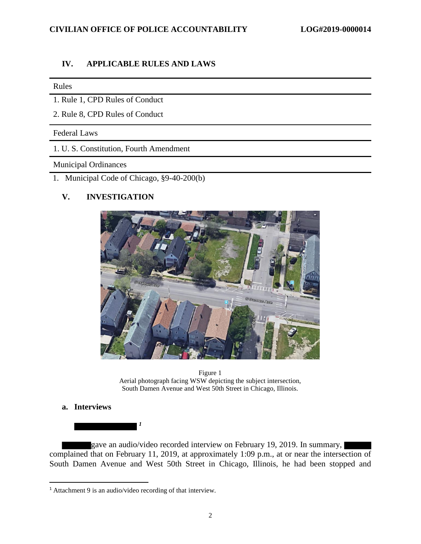#### **IV. APPLICABLE RULES AND LAWS**

#### Rules

- 1. Rule 1, CPD Rules of Conduct
- 2. Rule 8, CPD Rules of Conduct

#### Federal Laws

1. U. S. Constitution, Fourth Amendment

#### Municipal Ordinances

1. Municipal Code of Chicago, §9-40-200(b)

### **V. INVESTIGATION**



Figure 1 Aerial photograph facing WSW depicting the subject intersection, South Damen Avenue and West 50th Street in Chicago, Illinois.

### **a. Interviews**

l

gave an audio/video recorded interview on February 19, 2019. In summary, complained that on February 11, 2019, at approximately 1:09 p.m., at or near the intersection of South Damen Avenue and West 50th Street in Chicago, Illinois, he had been stopped and

*1*

<sup>1</sup> Attachment 9 is an audio/video recording of that interview.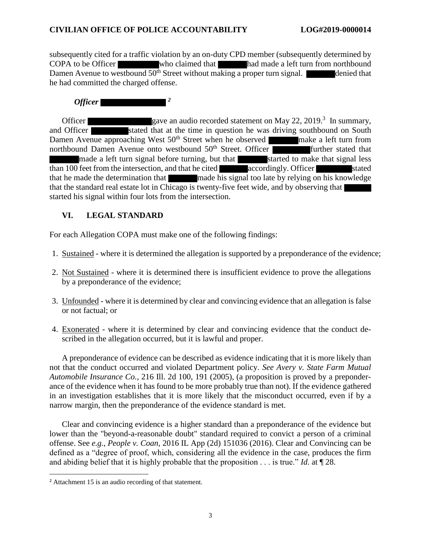subsequently cited for a traffic violation by an on-duty CPD member (subsequently determined by COPA to be Officer who claimed that had made a left turn from northbound Damen Avenue to westbound  $50<sup>th</sup>$  Street without making a proper turn signal. denied that he had committed the charged offense.

# *2<i><u>Officer</u>* **2**

Officer gave an audio recorded statement on May 22, 2019.<sup>3</sup> In summary, and Officer stated that at the time in question he was driving southbound on South Damen Avenue approaching West 50<sup>th</sup> Street when he observed make a left turn from northbound Damen Avenue onto westbound  $50<sup>th</sup>$  Street. Officer further stated that made a left turn signal before turning, but that started to make that signal less than 100 feet from the intersection, and that he cited accordingly. Officer stated that he made the determination that made his signal too late by relying on his knowledge that the standard real estate lot in Chicago is twenty-five feet wide, and by observing that started his signal within four lots from the intersection.

## **VI. LEGAL STANDARD**

For each Allegation COPA must make one of the following findings:

- 1. Sustained where it is determined the allegation is supported by a preponderance of the evidence;
- 2. Not Sustained where it is determined there is insufficient evidence to prove the allegations by a preponderance of the evidence;
- 3. Unfounded where it is determined by clear and convincing evidence that an allegation is false or not factual; or
- 4. Exonerated where it is determined by clear and convincing evidence that the conduct described in the allegation occurred, but it is lawful and proper.

A preponderance of evidence can be described as evidence indicating that it is more likely than not that the conduct occurred and violated Department policy. *See Avery v. State Farm Mutual Automobile Insurance Co.*, 216 Ill. 2d 100, 191 (2005), (a proposition is proved by a preponderance of the evidence when it has found to be more probably true than not). If the evidence gathered in an investigation establishes that it is more likely that the misconduct occurred, even if by a narrow margin, then the preponderance of the evidence standard is met.

Clear and convincing evidence is a higher standard than a preponderance of the evidence but lower than the "beyond-a-reasonable doubt" standard required to convict a person of a criminal offense. See *e.g.*, *People v. Coan*, 2016 IL App (2d) 151036 (2016). Clear and Convincing can be defined as a "degree of proof, which, considering all the evidence in the case, produces the firm and abiding belief that it is highly probable that the proposition . . . is true." *Id*. at ¶ 28.

 $\overline{\phantom{a}}$ <sup>2</sup> Attachment 15 is an audio recording of that statement.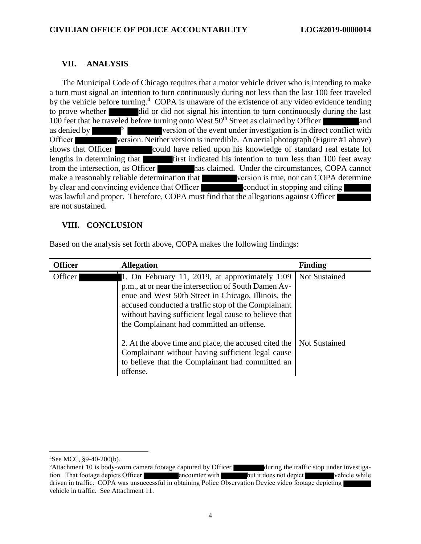#### **VII. ANALYSIS**

The Municipal Code of Chicago requires that a motor vehicle driver who is intending to make a turn must signal an intention to turn continuously during not less than the last 100 feet traveled by the vehicle before turning.<sup>4</sup> COPA is unaware of the existence of any video evidence tending to prove whether did or did not signal his intention to turn continuously during the last 100 feet that he traveled before turning onto West  $50<sup>th</sup>$  Street as claimed by Officer and as denied by <sup>5</sup> version of the event under investigation is in direct conflict with Officer version. Neither version is incredible. An aerial photograph (Figure #1 above) shows that Officer could have relied upon his knowledge of standard real estate lot lengths in determining that first indicated his intention to turn less than 100 feet away from the intersection, as Officer has claimed. Under the circumstances, COPA cannot make a reasonably reliable determination that version is true, nor can COPA determine by clear and convincing evidence that Officer conduct in stopping and citing was lawful and proper. Therefore, COPA must find that the allegations against Officer are not sustained.

### **VIII. CONCLUSION**

| <b>Officer</b> | <b>Allegation</b>                                                                                                                                                                                                                                                                                                          | <b>Finding</b>       |
|----------------|----------------------------------------------------------------------------------------------------------------------------------------------------------------------------------------------------------------------------------------------------------------------------------------------------------------------------|----------------------|
| Officer        | 1. On February 11, 2019, at approximately 1:09<br>p.m., at or near the intersection of South Damen Av-<br>enue and West 50th Street in Chicago, Illinois, the<br>accused conducted a traffic stop of the Complainant<br>without having sufficient legal cause to believe that<br>the Complainant had committed an offense. | <b>Not Sustained</b> |
|                | 2. At the above time and place, the accused cited the<br>Complainant without having sufficient legal cause<br>to believe that the Complainant had committed an<br>offense.                                                                                                                                                 | <b>Not Sustained</b> |

Based on the analysis set forth above, COPA makes the following findings:

l

<sup>4</sup>See MCC, §9-40-200(b).

 ${}^{5}$ Attachment 10 is body-worn camera footage captured by Officer during the traffic stop under investigation. That footage depicts Officer encounter with but it does not depict vehicle while driven in traffic. COPA was unsuccessful in obtaining Police Observation Device video footage depicting vehicle in traffic. See Attachment 11.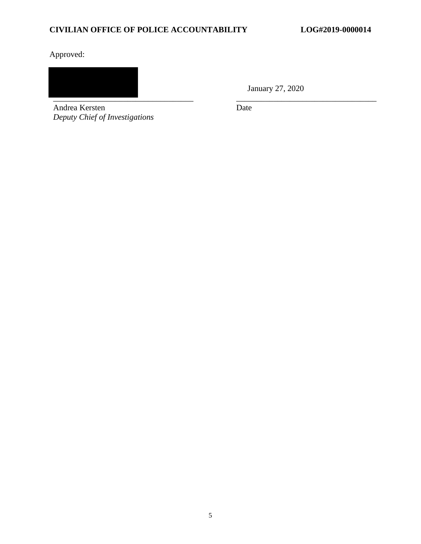# **CIVILIAN OFFICE OF POLICE ACCOUNTABILITY LOG#2019-0000014**

Approved:

\_\_\_\_\_\_\_\_\_\_\_\_\_\_\_\_\_\_\_\_\_\_\_\_\_\_\_\_\_\_\_\_\_\_ \_\_\_\_\_\_\_\_\_\_\_\_\_\_\_\_\_\_\_\_\_\_\_\_\_\_\_\_\_\_\_\_\_\_

Andrea Kersten *Deputy Chief of Investigations* January 27, 2020

Date